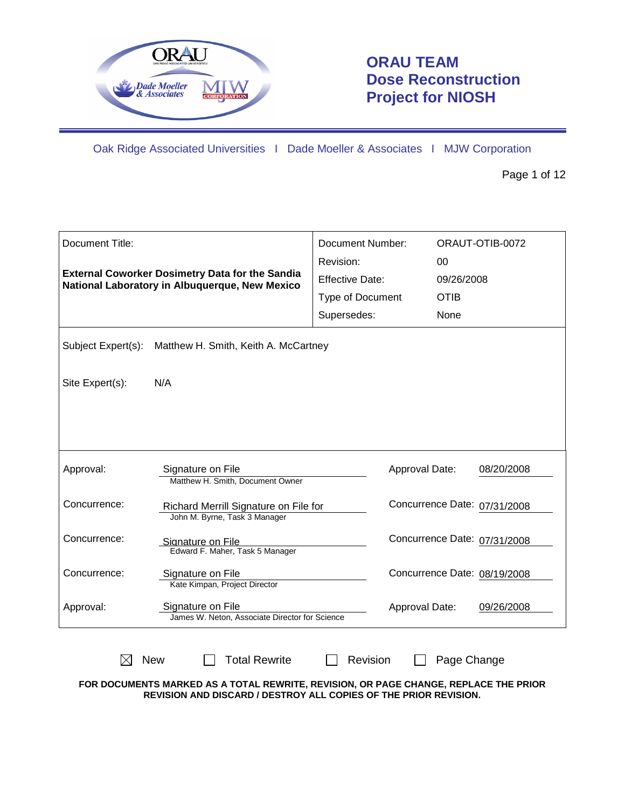

# **ORAU TEAM Dose Reconstruction Project for NIOSH**

Oak Ridge Associated Universities I Dade Moeller & Associates I MJW Corporation

Page 1 of 12

| Document Title:    |                                                                                                          | Document Number:        |                              | ORAUT-OTIB-0072 |
|--------------------|----------------------------------------------------------------------------------------------------------|-------------------------|------------------------------|-----------------|
|                    |                                                                                                          | Revision:               | 00                           |                 |
|                    | <b>External Coworker Dosimetry Data for the Sandia</b><br>National Laboratory in Albuquerque, New Mexico | <b>Effective Date:</b>  | 09/26/2008                   |                 |
|                    |                                                                                                          | <b>Type of Document</b> | <b>OTIB</b>                  |                 |
|                    |                                                                                                          | Supersedes:             | None                         |                 |
| Subject Expert(s): | Matthew H. Smith, Keith A. McCartney                                                                     |                         |                              |                 |
| Site Expert(s):    | N/A                                                                                                      |                         |                              |                 |
|                    |                                                                                                          |                         |                              |                 |
|                    |                                                                                                          |                         |                              |                 |
| Approval:          | Signature on File<br>Matthew H. Smith, Document Owner                                                    |                         | Approval Date:               | 08/20/2008      |
| Concurrence:       | Richard Merrill Signature on File for<br>John M. Byrne, Task 3 Manager                                   |                         | Concurrence Date: 07/31/2008 |                 |
| Concurrence:       | Signature on File<br>Edward F. Maher, Task 5 Manager                                                     |                         | Concurrence Date: 07/31/2008 |                 |
| Concurrence:       | Signature on File<br>Kate Kimpan, Project Director                                                       |                         | Concurrence Date: 08/19/2008 |                 |
| Approval:          | Signature on File<br>James W. Neton, Associate Director for Science                                      |                         | Approval Date:               | 09/26/2008      |
|                    | <b>Total Rewrite</b><br><b>New</b>                                                                       | Revision                | Page Change                  |                 |

**FOR DOCUMENTS MARKED AS A TOTAL REWRITE, REVISION, OR PAGE CHANGE, REPLACE THE PRIOR REVISION AND DISCARD / DESTROY ALL COPIES OF THE PRIOR REVISION.**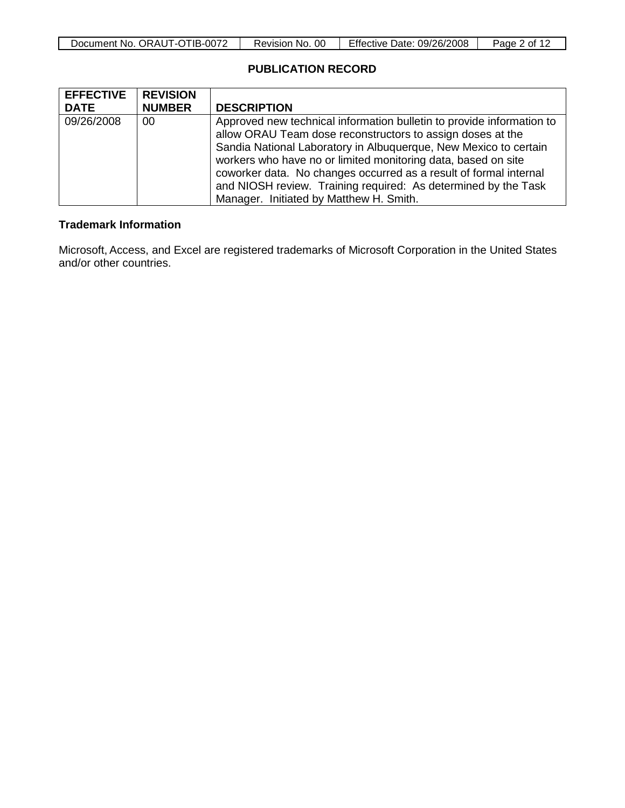| ∕-TIB-<br>-0072<br>ORAUT-C<br>Document No. | <sub>OC</sub><br>Revision No. | 09/26/2008<br>Date:<br>Effective | ⊵aαe<br>0t |
|--------------------------------------------|-------------------------------|----------------------------------|------------|

## **PUBLICATION RECORD**

| <b>EFFECTIVE</b> | <b>REVISION</b> |                                                                       |
|------------------|-----------------|-----------------------------------------------------------------------|
| <b>DATE</b>      | <b>NUMBER</b>   | <b>DESCRIPTION</b>                                                    |
| 09/26/2008       | 00              | Approved new technical information bulletin to provide information to |
|                  |                 | allow ORAU Team dose reconstructors to assign doses at the            |
|                  |                 | Sandia National Laboratory in Albuquerque, New Mexico to certain      |
|                  |                 | workers who have no or limited monitoring data, based on site         |
|                  |                 | coworker data. No changes occurred as a result of formal internal     |
|                  |                 | and NIOSH review. Training required: As determined by the Task        |
|                  |                 | Manager. Initiated by Matthew H. Smith.                               |

### **Trademark Information**

Microsoft, Access, and Excel are registered trademarks of Microsoft Corporation in the United States and/or other countries.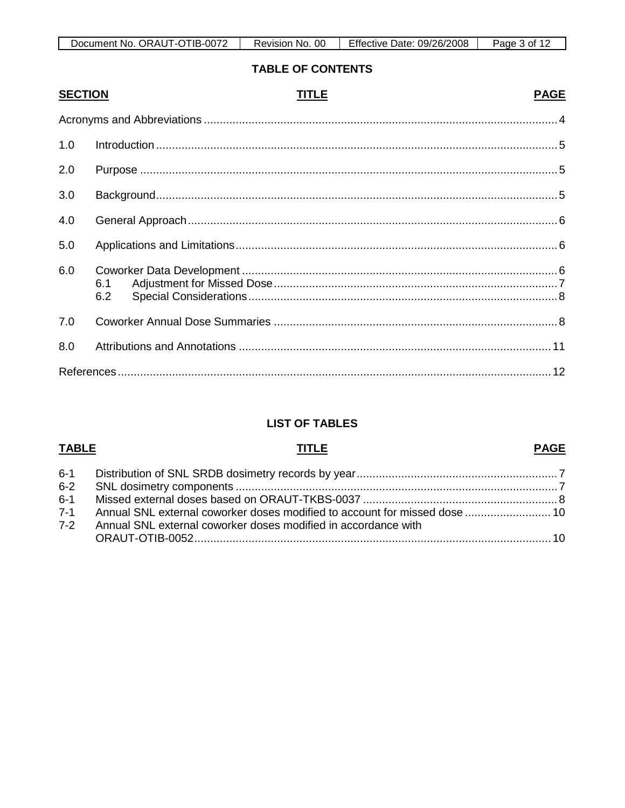| TIB-0072<br>. ORAUT-OT<br>Document No. | 00<br>No.<br>Revision | Effective<br>09/26/2008<br>Date: | Page<br>. of |
|----------------------------------------|-----------------------|----------------------------------|--------------|

## **TABLE OF CONTENTS**

| <b>SECTION</b> | TITLE      | <b>PAGE</b> |
|----------------|------------|-------------|
|                |            |             |
| 1.0            |            |             |
| 2.0            |            |             |
| 3.0            |            |             |
| 4.0            |            |             |
| 5.0            |            |             |
| 6.0            | 6.1<br>6.2 |             |
| 7.0            |            |             |
| 8.0            |            |             |
|                |            |             |

## **LIST OF TABLES**

## **TABLE**

## **TITLE**

### **PAGE**

| 7-1 Annual SNL external coworker doses modified to account for missed dose  10 |  |
|--------------------------------------------------------------------------------|--|
| 7-2 Annual SNL external coworker doses modified in accordance with             |  |
|                                                                                |  |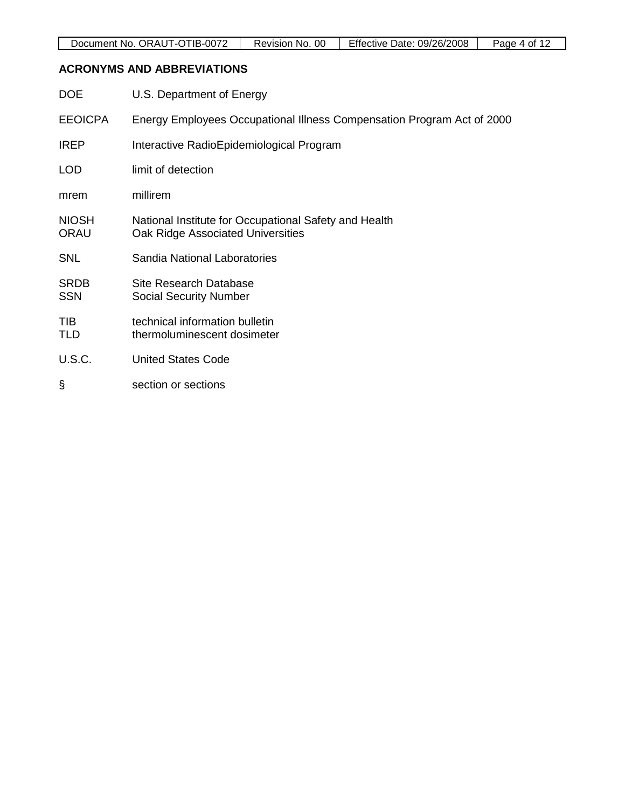## **ACRONYMS AND ABBREVIATIONS**

| <b>DOE</b>                  | U.S. Department of Energy                                                                  |
|-----------------------------|--------------------------------------------------------------------------------------------|
| <b>EEOICPA</b>              | Energy Employees Occupational Illness Compensation Program Act of 2000                     |
| <b>IREP</b>                 | Interactive RadioEpidemiological Program                                                   |
| <b>LOD</b>                  | limit of detection                                                                         |
| mrem                        | millirem                                                                                   |
| <b>NIOSH</b><br><b>ORAU</b> | National Institute for Occupational Safety and Health<br>Oak Ridge Associated Universities |
| <b>SNL</b>                  | Sandia National Laboratories                                                               |
| <b>SRDB</b><br><b>SSN</b>   | <b>Site Research Database</b><br><b>Social Security Number</b>                             |
| <b>TIB</b><br>TLD           | technical information bulletin<br>thermoluminescent dosimeter                              |
| <b>U.S.C.</b>               | <b>United States Code</b>                                                                  |
| ş                           | section or sections                                                                        |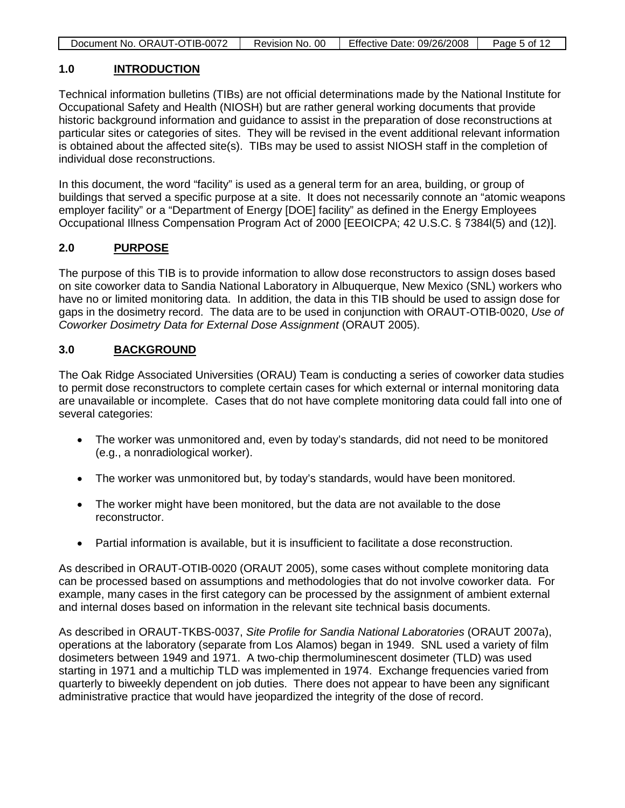| Document No. ORAUT-OTIB-0072 | Revision No. 00 | Effective Date: 09/26/2008 | Page 5 of 12 |
|------------------------------|-----------------|----------------------------|--------------|
|                              |                 |                            |              |

#### **1.0 INTRODUCTION**

Technical information bulletins (TIBs) are not official determinations made by the National Institute for Occupational Safety and Health (NIOSH) but are rather general working documents that provide historic background information and guidance to assist in the preparation of dose reconstructions at particular sites or categories of sites. They will be revised in the event additional relevant information is obtained about the affected site(s). TIBs may be used to assist NIOSH staff in the completion of individual dose reconstructions.

In this document, the word "facility" is used as a general term for an area, building, or group of buildings that served a specific purpose at a site. It does not necessarily connote an "atomic weapons employer facility" or a "Department of Energy [DOE] facility" as defined in the Energy Employees Occupational Illness Compensation Program Act of 2000 [EEOICPA; 42 U.S.C. § 7384l(5) and (12)].

#### **2.0 PURPOSE**

The purpose of this TIB is to provide information to allow dose reconstructors to assign doses based on site coworker data to Sandia National Laboratory in Albuquerque, New Mexico (SNL) workers who have no or limited monitoring data. In addition, the data in this TIB should be used to assign dose for gaps in the dosimetry record. The data are to be used in conjunction with ORAUT-OTIB-0020, *Use of Coworker Dosimetry Data for External Dose Assignment* (ORAUT 2005).

#### **3.0 BACKGROUND**

The Oak Ridge Associated Universities (ORAU) Team is conducting a series of coworker data studies to permit dose reconstructors to complete certain cases for which external or internal monitoring data are unavailable or incomplete. Cases that do not have complete monitoring data could fall into one of several categories:

- The worker was unmonitored and, even by today's standards, did not need to be monitored (e.g., a nonradiological worker).
- The worker was unmonitored but, by today's standards, would have been monitored.
- The worker might have been monitored, but the data are not available to the dose reconstructor.
- Partial information is available, but it is insufficient to facilitate a dose reconstruction.

As described in ORAUT-OTIB-0020 (ORAUT 2005), some cases without complete monitoring data can be processed based on assumptions and methodologies that do not involve coworker data. For example, many cases in the first category can be processed by the assignment of ambient external and internal doses based on information in the relevant site technical basis documents.

As described in ORAUT-TKBS-0037, *Site Profile for Sandia National Laboratories* (ORAUT 2007a), operations at the laboratory (separate from Los Alamos) began in 1949. SNL used a variety of film dosimeters between 1949 and 1971. A two-chip thermoluminescent dosimeter (TLD) was used starting in 1971 and a multichip TLD was implemented in 1974. Exchange frequencies varied from quarterly to biweekly dependent on job duties. There does not appear to have been any significant administrative practice that would have jeopardized the integrity of the dose of record.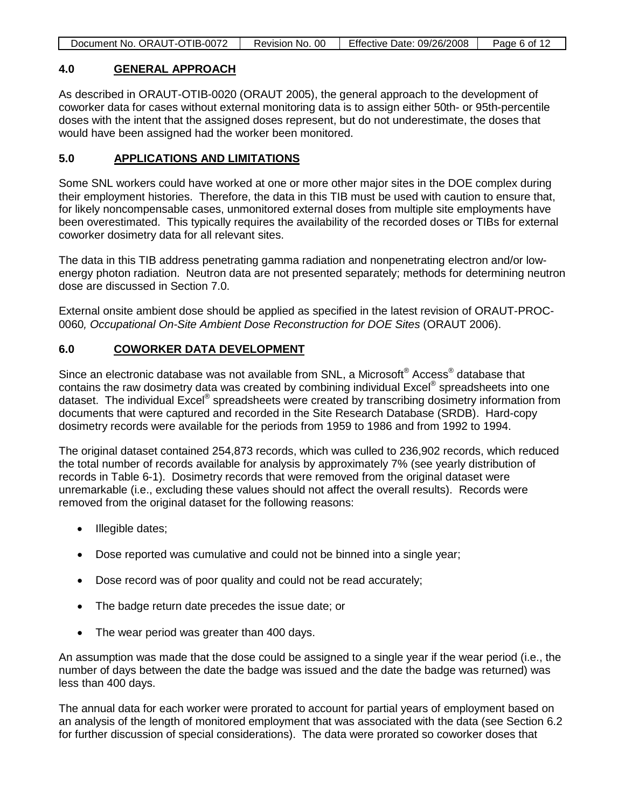| Document No. ORAUT-OTIB-0072 | Revision No. 00 | Effective Date: 09/26/2008 | Page 6 of 12 |
|------------------------------|-----------------|----------------------------|--------------|
|                              |                 |                            |              |

#### **4.0 GENERAL APPROACH**

As described in ORAUT-OTIB-0020 (ORAUT 2005), the general approach to the development of coworker data for cases without external monitoring data is to assign either 50th- or 95th-percentile doses with the intent that the assigned doses represent, but do not underestimate, the doses that would have been assigned had the worker been monitored.

#### **5.0 APPLICATIONS AND LIMITATIONS**

Some SNL workers could have worked at one or more other major sites in the DOE complex during their employment histories. Therefore, the data in this TIB must be used with caution to ensure that, for likely noncompensable cases, unmonitored external doses from multiple site employments have been overestimated. This typically requires the availability of the recorded doses or TIBs for external coworker dosimetry data for all relevant sites.

The data in this TIB address penetrating gamma radiation and nonpenetrating electron and/or lowenergy photon radiation. Neutron data are not presented separately; methods for determining neutron dose are discussed in Section 7.0.

External onsite ambient dose should be applied as specified in the latest revision of ORAUT-PROC-0060*, Occupational On-Site Ambient Dose Reconstruction for DOE Sites* (ORAUT 2006).

#### **6.0 COWORKER DATA DEVELOPMENT**

Since an electronic database was not available from SNL, a Microsoft® Access® database that contains the raw dosimetry data was created by combining individual Excel® spreadsheets into one dataset. The individual Excel® spreadsheets were created by transcribing dosimetry information from documents that were captured and recorded in the Site Research Database (SRDB). Hard-copy dosimetry records were available for the periods from 1959 to 1986 and from 1992 to 1994.

The original dataset contained 254,873 records, which was culled to 236,902 records, which reduced the total number of records available for analysis by approximately 7% (see yearly distribution of records in Table 6-1). Dosimetry records that were removed from the original dataset were unremarkable (i.e., excluding these values should not affect the overall results). Records were removed from the original dataset for the following reasons:

- Illegible dates;
- Dose reported was cumulative and could not be binned into a single year;
- Dose record was of poor quality and could not be read accurately;
- The badge return date precedes the issue date; or
- The wear period was greater than 400 days.

An assumption was made that the dose could be assigned to a single year if the wear period (i.e., the number of days between the date the badge was issued and the date the badge was returned) was less than 400 days.

The annual data for each worker were prorated to account for partial years of employment based on an analysis of the length of monitored employment that was associated with the data (see Section 6.2 for further discussion of special considerations). The data were prorated so coworker doses that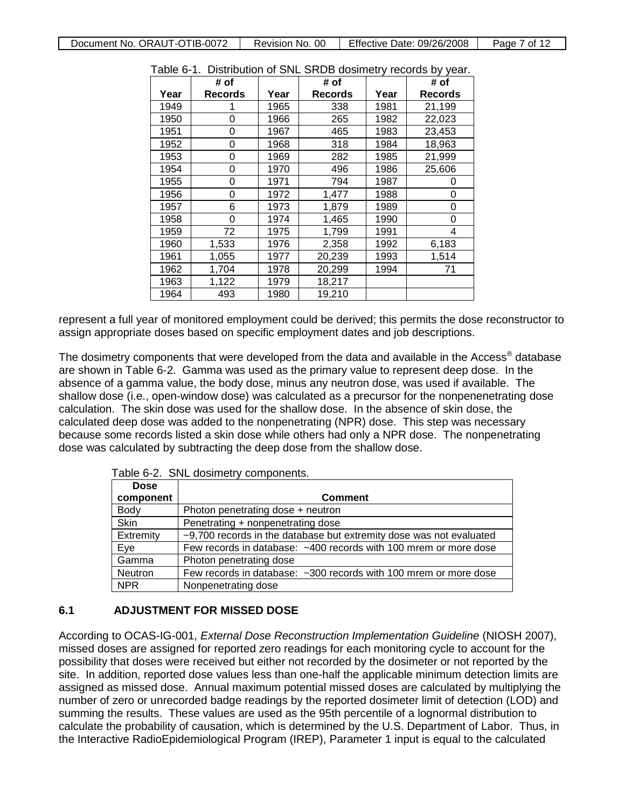|      | # of           |      | # of    |      | # of    |
|------|----------------|------|---------|------|---------|
| Year | <b>Records</b> | Year | Records | Year | Records |
| 1949 |                | 1965 | 338     | 1981 | 21,199  |
| 1950 | 0              | 1966 | 265     | 1982 | 22,023  |
| 1951 | 0              | 1967 | 465     | 1983 | 23,453  |
| 1952 | 0              | 1968 | 318     | 1984 | 18,963  |
| 1953 | 0              | 1969 | 282     | 1985 | 21,999  |
| 1954 | 0              | 1970 | 496     | 1986 | 25,606  |
| 1955 | 0              | 1971 | 794     | 1987 | U       |
| 1956 | 0              | 1972 | 1,477   | 1988 | 0       |
| 1957 | 6              | 1973 | 1,879   | 1989 | 0       |
| 1958 | 0              | 1974 | 1,465   | 1990 | 0       |
| 1959 | 72             | 1975 | 1,799   | 1991 | 4       |
| 1960 | 1,533          | 1976 | 2,358   | 1992 | 6,183   |
| 1961 | 1,055          | 1977 | 20,239  | 1993 | 1,514   |
| 1962 | 1,704          | 1978 | 20,299  | 1994 | 71      |
| 1963 | 1,122          | 1979 | 18,217  |      |         |
| 1964 | 493            | 1980 | 19,210  |      |         |

Table 6-1. Distribution of SNL SRDB dosimetry records by year.

represent a full year of monitored employment could be derived; this permits the dose reconstructor to assign appropriate doses based on specific employment dates and job descriptions.

The dosimetry components that were developed from the data and available in the Access<sup>®</sup> database are shown in Table 6-2. Gamma was used as the primary value to represent deep dose. In the absence of a gamma value, the body dose, minus any neutron dose, was used if available. The shallow dose (i.e., open-window dose) was calculated as a precursor for the nonpenenetrating dose calculation. The skin dose was used for the shallow dose. In the absence of skin dose, the calculated deep dose was added to the nonpenetrating (NPR) dose. This step was necessary because some records listed a skin dose while others had only a NPR dose. The nonpenetrating dose was calculated by subtracting the deep dose from the shallow dose.

Table 6-2. SNL dosimetry components.

| <b>Dose</b> |                                                                     |
|-------------|---------------------------------------------------------------------|
| component   | <b>Comment</b>                                                      |
| <b>Body</b> | Photon penetrating dose + neutron                                   |
| <b>Skin</b> | Penetrating + nonpenetrating dose                                   |
| Extremity   | ~9,700 records in the database but extremity dose was not evaluated |
| Eye         | Few records in database: ~400 records with 100 mrem or more dose    |
| Gamma       | Photon penetrating dose                                             |
| Neutron     | Few records in database: ~300 records with 100 mrem or more dose    |
| <b>NPR</b>  | Nonpenetrating dose                                                 |

### **6.1 ADJUSTMENT FOR MISSED DOSE**

According to OCAS-IG-001, *External Dose Reconstruction Implementation Guideline* (NIOSH 2007), missed doses are assigned for reported zero readings for each monitoring cycle to account for the possibility that doses were received but either not recorded by the dosimeter or not reported by the site. In addition, reported dose values less than one-half the applicable minimum detection limits are assigned as missed dose. Annual maximum potential missed doses are calculated by multiplying the number of zero or unrecorded badge readings by the reported dosimeter limit of detection (LOD) and summing the results. These values are used as the 95th percentile of a lognormal distribution to calculate the probability of causation, which is determined by the U.S. Department of Labor. Thus, in the Interactive RadioEpidemiological Program (IREP), Parameter 1 input is equal to the calculated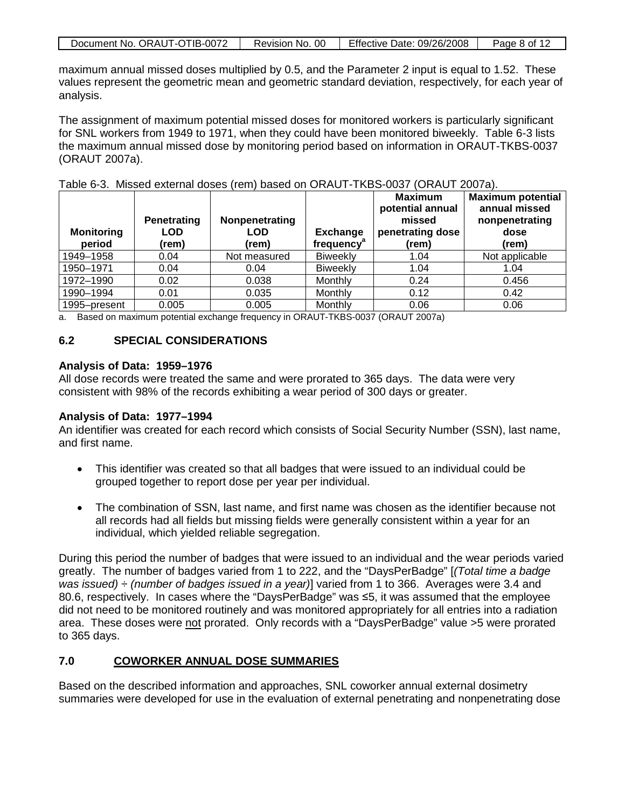| Document No. ORAUT-OTIB-0072 | Revision No. 00 | Effective Date: 09/26/2008 | Page 8 of 12 |
|------------------------------|-----------------|----------------------------|--------------|

maximum annual missed doses multiplied by 0.5, and the Parameter 2 input is equal to 1.52. These values represent the geometric mean and geometric standard deviation, respectively, for each year of analysis.

The assignment of maximum potential missed doses for monitored workers is particularly significant for SNL workers from 1949 to 1971, when they could have been monitored biweekly. Table 6-3 lists the maximum annual missed dose by monitoring period based on information in ORAUT-TKBS-0037 (ORAUT 2007a).

| <b>Monitoring</b><br>period | Penetrating<br>LOD<br>(rem) | Nonpenetrating<br><b>LOD</b><br>(rem) | <b>Exchange</b><br>frequency <sup>®</sup> | <b>Maximum</b><br>potential annual<br>missed<br>penetrating dose<br>(rem) | <b>Maximum potential</b><br>annual missed<br>nonpenetrating<br>dose<br>(rem) |
|-----------------------------|-----------------------------|---------------------------------------|-------------------------------------------|---------------------------------------------------------------------------|------------------------------------------------------------------------------|
| 1949-1958                   | 0.04                        | Not measured                          | <b>Biweekly</b>                           | 1.04                                                                      | Not applicable                                                               |
| 1950-1971                   | 0.04                        | 0.04                                  | <b>Biweekly</b>                           | 1.04                                                                      | 1.04                                                                         |
| 1972-1990                   | 0.02                        | 0.038                                 | Monthly                                   | 0.24                                                                      | 0.456                                                                        |
| 1990-1994                   | 0.01                        | 0.035                                 | Monthly                                   | 0.12                                                                      | 0.42                                                                         |
| 1995-present                | 0.005                       | 0.005                                 | Monthly                                   | 0.06                                                                      | 0.06                                                                         |

Table 6-3. Missed external doses (rem) based on ORAUT-TKBS-0037 (ORAUT 2007a).

a. Based on maximum potential exchange frequency in ORAUT-TKBS-0037 (ORAUT 2007a)

### **6.2 SPECIAL CONSIDERATIONS**

### **Analysis of Data: 1959–1976**

All dose records were treated the same and were prorated to 365 days. The data were very consistent with 98% of the records exhibiting a wear period of 300 days or greater.

### **Analysis of Data: 1977–1994**

An identifier was created for each record which consists of Social Security Number (SSN), last name, and first name.

- This identifier was created so that all badges that were issued to an individual could be grouped together to report dose per year per individual.
- The combination of SSN, last name, and first name was chosen as the identifier because not all records had all fields but missing fields were generally consistent within a year for an individual, which yielded reliable segregation.

During this period the number of badges that were issued to an individual and the wear periods varied greatly. The number of badges varied from 1 to 222, and the "DaysPerBadge" [*(Total time a badge was issued) ÷ (number of badges issued in a year)*] varied from 1 to 366. Averages were 3.4 and 80.6, respectively. In cases where the "DaysPerBadge" was ≤5, it was assumed that the employee did not need to be monitored routinely and was monitored appropriately for all entries into a radiation area. These doses were not prorated. Only records with a "DaysPerBadge" value >5 were prorated to 365 days.

#### **7.0 COWORKER ANNUAL DOSE SUMMARIES**

Based on the described information and approaches, SNL coworker annual external dosimetry summaries were developed for use in the evaluation of external penetrating and nonpenetrating dose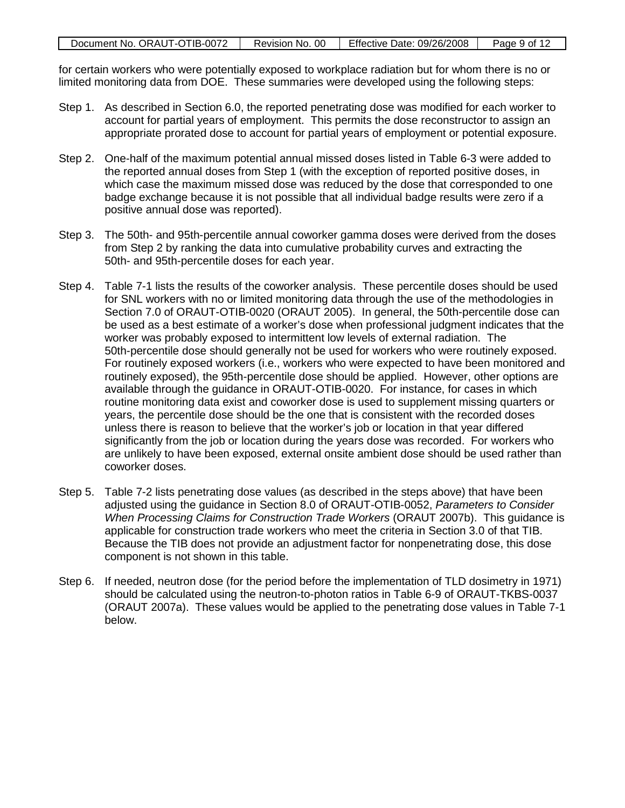| Document No. ORAUT-OTIB-0072 | Revision No. 00 | <b>Effective Date: 09/26/2008</b> | Page 9 of 12 |
|------------------------------|-----------------|-----------------------------------|--------------|

for certain workers who were potentially exposed to workplace radiation but for whom there is no or limited monitoring data from DOE. These summaries were developed using the following steps:

- Step 1. As described in Section 6.0, the reported penetrating dose was modified for each worker to account for partial years of employment. This permits the dose reconstructor to assign an appropriate prorated dose to account for partial years of employment or potential exposure.
- Step 2. One-half of the maximum potential annual missed doses listed in Table 6-3 were added to the reported annual doses from Step 1 (with the exception of reported positive doses, in which case the maximum missed dose was reduced by the dose that corresponded to one badge exchange because it is not possible that all individual badge results were zero if a positive annual dose was reported).
- Step 3. The 50th- and 95th-percentile annual coworker gamma doses were derived from the doses from Step 2 by ranking the data into cumulative probability curves and extracting the 50th- and 95th-percentile doses for each year.
- Step 4. Table 7-1 lists the results of the coworker analysis. These percentile doses should be used for SNL workers with no or limited monitoring data through the use of the methodologies in Section 7.0 of ORAUT-OTIB-0020 (ORAUT 2005). In general, the 50th-percentile dose can be used as a best estimate of a worker's dose when professional judgment indicates that the worker was probably exposed to intermittent low levels of external radiation. The 50th-percentile dose should generally not be used for workers who were routinely exposed. For routinely exposed workers (i.e., workers who were expected to have been monitored and routinely exposed), the 95th-percentile dose should be applied. However, other options are available through the guidance in ORAUT-OTIB-0020. For instance, for cases in which routine monitoring data exist and coworker dose is used to supplement missing quarters or years, the percentile dose should be the one that is consistent with the recorded doses unless there is reason to believe that the worker's job or location in that year differed significantly from the job or location during the years dose was recorded. For workers who are unlikely to have been exposed, external onsite ambient dose should be used rather than coworker doses.
- Step 5. Table 7-2 lists penetrating dose values (as described in the steps above) that have been adjusted using the guidance in Section 8.0 of ORAUT-OTIB-0052, *Parameters to Consider When Processing Claims for Construction Trade Workers* (ORAUT 2007b). This guidance is applicable for construction trade workers who meet the criteria in Section 3.0 of that TIB. Because the TIB does not provide an adjustment factor for nonpenetrating dose, this dose component is not shown in this table.
- Step 6. If needed, neutron dose (for the period before the implementation of TLD dosimetry in 1971) should be calculated using the neutron-to-photon ratios in Table 6-9 of ORAUT-TKBS-0037 (ORAUT 2007a). These values would be applied to the penetrating dose values in Table 7-1 below.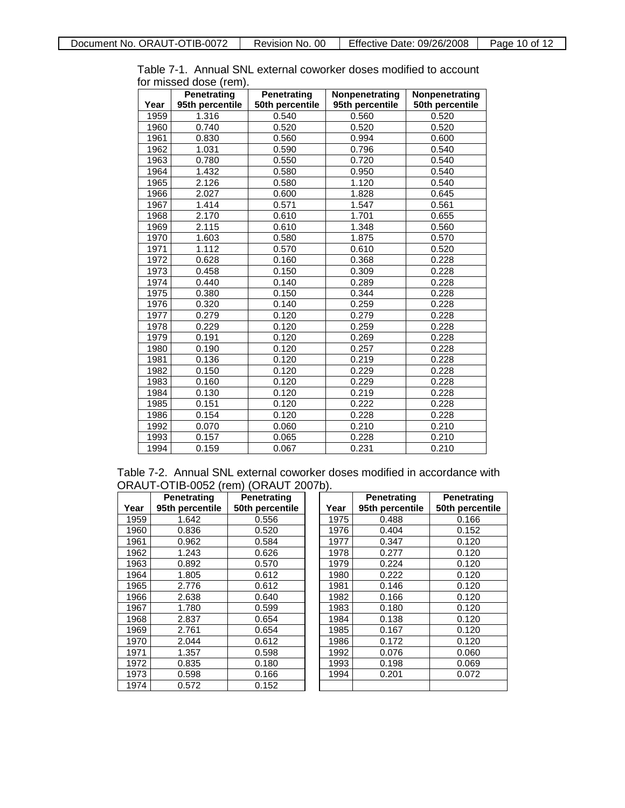|      | ויוסו ווטסטט שטסט <i>(ו</i> טווון:<br><b>Penetrating</b> | <b>Penetrating</b> | Nonpenetrating  | Nonpenetrating  |
|------|----------------------------------------------------------|--------------------|-----------------|-----------------|
| Year | 95th percentile                                          | 50th percentile    | 95th percentile | 50th percentile |
| 1959 | 1.316                                                    | 0.540              | 0.560           | 0.520           |
| 1960 | 0.740                                                    | 0.520              | 0.520           | 0.520           |
| 1961 | 0.830                                                    | 0.560              | 0.994           | 0.600           |
| 1962 | 1.031                                                    | 0.590              | 0.796           | 0.540           |
| 1963 | 0.780                                                    | 0.550              | 0.720           | 0.540           |
| 1964 | 1.432                                                    | 0.580              | 0.950           | 0.540           |
| 1965 | 2.126                                                    | 0.580              | 1.120           | 0.540           |
| 1966 | 2.027                                                    | 0.600              | 1.828           | 0.645           |
| 1967 | 1.414                                                    | 0.571              | 1.547           | 0.561           |
| 1968 | 2.170                                                    | 0.610              | 1.701           | 0.655           |
| 1969 | 2.115                                                    | 0.610              | 1.348           | 0.560           |
| 1970 | 1.603                                                    | 0.580              | 1.875           | 0.570           |
| 1971 | 1.112                                                    | 0.570              | 0.610           | 0.520           |
| 1972 | 0.628                                                    | 0.160              | 0.368           | 0.228           |
| 1973 | 0.458                                                    | 0.150              | 0.309           | 0.228           |
| 1974 | 0.440                                                    | 0.140              | 0.289           | 0.228           |
| 1975 | 0.380                                                    | 0.150              | 0.344           | 0.228           |
| 1976 | 0.320                                                    | 0.140              | 0.259           | 0.228           |
| 1977 | 0.279                                                    | 0.120              | 0.279           | 0.228           |
| 1978 | 0.229                                                    | 0.120              | 0.259           | 0.228           |
| 1979 | 0.191                                                    | 0.120              | 0.269           | 0.228           |
| 1980 | 0.190                                                    | 0.120              | 0.257           | 0.228           |
| 1981 | 0.136                                                    | 0.120              | 0.219           | 0.228           |
| 1982 | 0.150                                                    | 0.120              | 0.229           | 0.228           |
| 1983 | 0.160                                                    | 0.120              | 0.229           | 0.228           |
| 1984 | 0.130                                                    | 0.120              | 0.219           | 0.228           |
| 1985 | 0.151                                                    | 0.120              | 0.222           | 0.228           |
| 1986 | 0.154                                                    | 0.120              | 0.228           | 0.228           |
| 1992 | 0.070                                                    | 0.060              | 0.210           | 0.210           |
| 1993 | 0.157                                                    | 0.065              | 0.228           | 0.210           |
| 1994 | 0.159                                                    | 0.067              | 0.231           | 0.210           |

Table 7-1. Annual SNL external coworker doses modified to account for missed dose (rem).

Table 7-2. Annual SNL external coworker doses modified in accordance with ORAUT-OTIB-0052 (rem) (ORAUT 2007b).

|      | <b>Penetrating</b> | <b>Penetrating</b> |      | <b>Penetrating</b> | <b>Penetrating</b> |
|------|--------------------|--------------------|------|--------------------|--------------------|
| Year | 95th percentile    | 50th percentile    | Year | 95th percentile    | 50th percentile    |
| 1959 | 1.642              | 0.556              | 1975 | 0.488              | 0.166              |
| 1960 | 0.836              | 0.520              | 1976 | 0.404              | 0.152              |
| 1961 | 0.962              | 0.584              | 1977 | 0.347              | 0.120              |
| 1962 | 1.243              | 0.626              | 1978 | 0.277              | 0.120              |
| 1963 | 0.892              | 0.570              | 1979 | 0.224              | 0.120              |
| 1964 | 1.805              | 0.612              | 1980 | 0.222              | 0.120              |
| 1965 | 2.776              | 0.612              | 1981 | 0.146              | 0.120              |
| 1966 | 2.638              | 0.640              | 1982 | 0.166              | 0.120              |
| 1967 | 1.780              | 0.599              | 1983 | 0.180              | 0.120              |
| 1968 | 2.837              | 0.654              | 1984 | 0.138              | 0.120              |
| 1969 | 2.761              | 0.654              | 1985 | 0.167              | 0.120              |
| 1970 | 2.044              | 0.612              | 1986 | 0.172              | 0.120              |
| 1971 | 1.357              | 0.598              | 1992 | 0.076              | 0.060              |
| 1972 | 0.835              | 0.180              | 1993 | 0.198              | 0.069              |
| 1973 | 0.598              | 0.166              | 1994 | 0.201              | 0.072              |
| 1974 | 0.572              | 0.152              |      |                    |                    |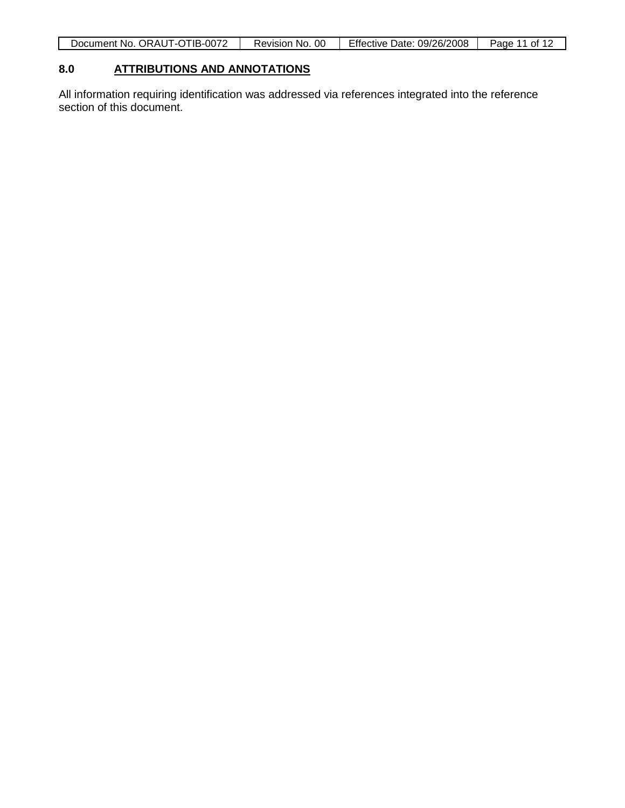| Document No. ORAUT-OTIB-0072 | Revision No. 00 | Effective Date: 09/26/2008 | Page 11 of 12 |
|------------------------------|-----------------|----------------------------|---------------|

#### **8.0 ATTRIBUTIONS AND ANNOTATIONS**

All information requiring identification was addressed via references integrated into the reference section of this document.